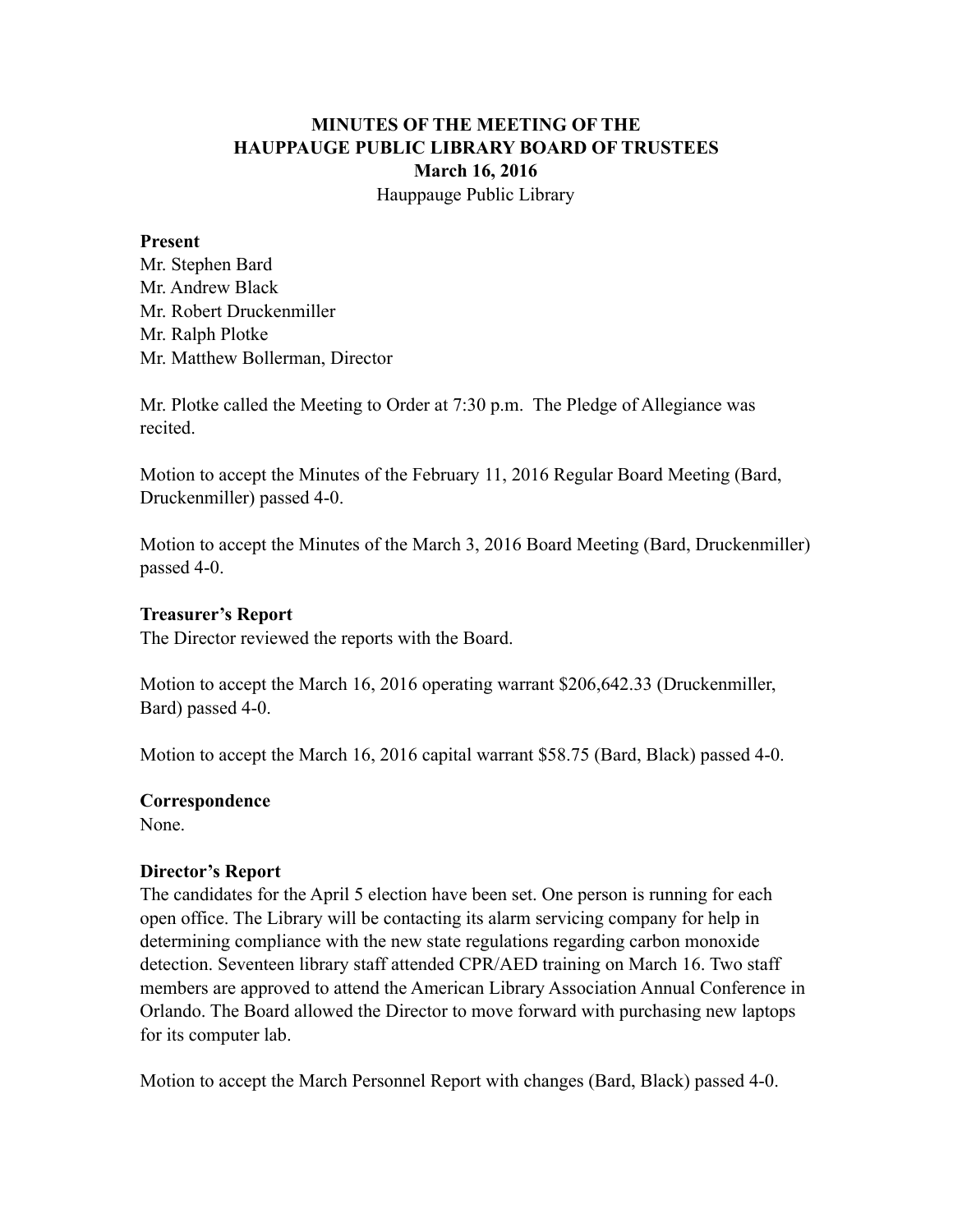## **MINUTES OF THE MEETING OF THE HAUPPAUGE PUBLIC LIBRARY BOARD OF TRUSTEES March 16, 2016** Hauppauge Public Library

#### **Present**

Mr. Stephen Bard Mr. Andrew Black Mr. Robert Druckenmiller Mr. Ralph Plotke Mr. Matthew Bollerman, Director

Mr. Plotke called the Meeting to Order at 7:30 p.m. The Pledge of Allegiance was recited.

Motion to accept the Minutes of the February 11, 2016 Regular Board Meeting (Bard, Druckenmiller) passed 4-0.

Motion to accept the Minutes of the March 3, 2016 Board Meeting (Bard, Druckenmiller) passed 4-0.

## **Treasurer's Report**

The Director reviewed the reports with the Board.

Motion to accept the March 16, 2016 operating warrant \$206,642.33 (Druckenmiller, Bard) passed 4-0.

Motion to accept the March 16, 2016 capital warrant \$58.75 (Bard, Black) passed 4-0.

#### **Correspondence**

None.

## **Director's Report**

The candidates for the April 5 election have been set. One person is running for each open office. The Library will be contacting its alarm servicing company for help in determining compliance with the new state regulations regarding carbon monoxide detection. Seventeen library staff attended CPR/AED training on March 16. Two staff members are approved to attend the American Library Association Annual Conference in Orlando. The Board allowed the Director to move forward with purchasing new laptops for its computer lab.

Motion to accept the March Personnel Report with changes (Bard, Black) passed 4-0.